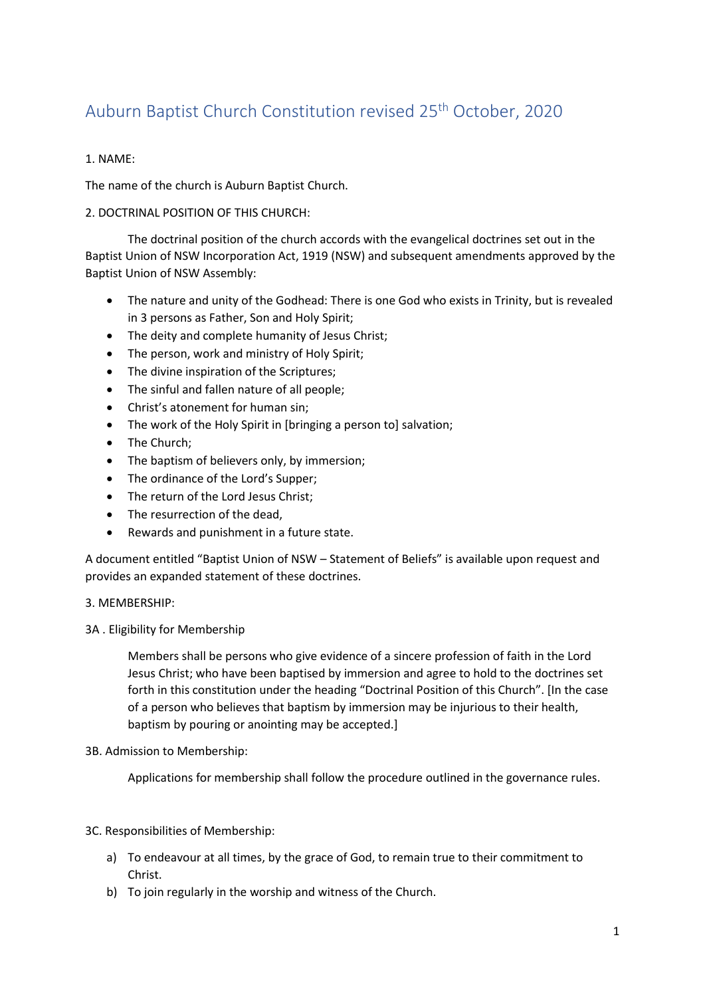# Auburn Baptist Church Constitution revised 25th October, 2020

# 1. NAME:

The name of the church is Auburn Baptist Church.

# 2. DOCTRINAL POSITION OF THIS CHURCH:

The doctrinal position of the church accords with the evangelical doctrines set out in the Baptist Union of NSW Incorporation Act, 1919 (NSW) and subsequent amendments approved by the Baptist Union of NSW Assembly:

- The nature and unity of the Godhead: There is one God who exists in Trinity, but is revealed in 3 persons as Father, Son and Holy Spirit;
- The deity and complete humanity of Jesus Christ;
- The person, work and ministry of Holy Spirit;
- The divine inspiration of the Scriptures;
- The sinful and fallen nature of all people;
- Christ's atonement for human sin;
- The work of the Holy Spirit in [bringing a person to] salvation;
- The Church;
- The baptism of believers only, by immersion;
- The ordinance of the Lord's Supper;
- The return of the Lord Jesus Christ;
- The resurrection of the dead.
- Rewards and punishment in a future state.

A document entitled "Baptist Union of NSW – Statement of Beliefs" is available upon request and provides an expanded statement of these doctrines.

# 3. MEMBERSHIP:

3A . Eligibility for Membership

Members shall be persons who give evidence of a sincere profession of faith in the Lord Jesus Christ; who have been baptised by immersion and agree to hold to the doctrines set forth in this constitution under the heading "Doctrinal Position of this Church". [In the case of a person who believes that baptism by immersion may be injurious to their health, baptism by pouring or anointing may be accepted.]

# 3B. Admission to Membership:

Applications for membership shall follow the procedure outlined in the governance rules.

3C. Responsibilities of Membership:

- a) To endeavour at all times, by the grace of God, to remain true to their commitment to Christ.
- b) To join regularly in the worship and witness of the Church.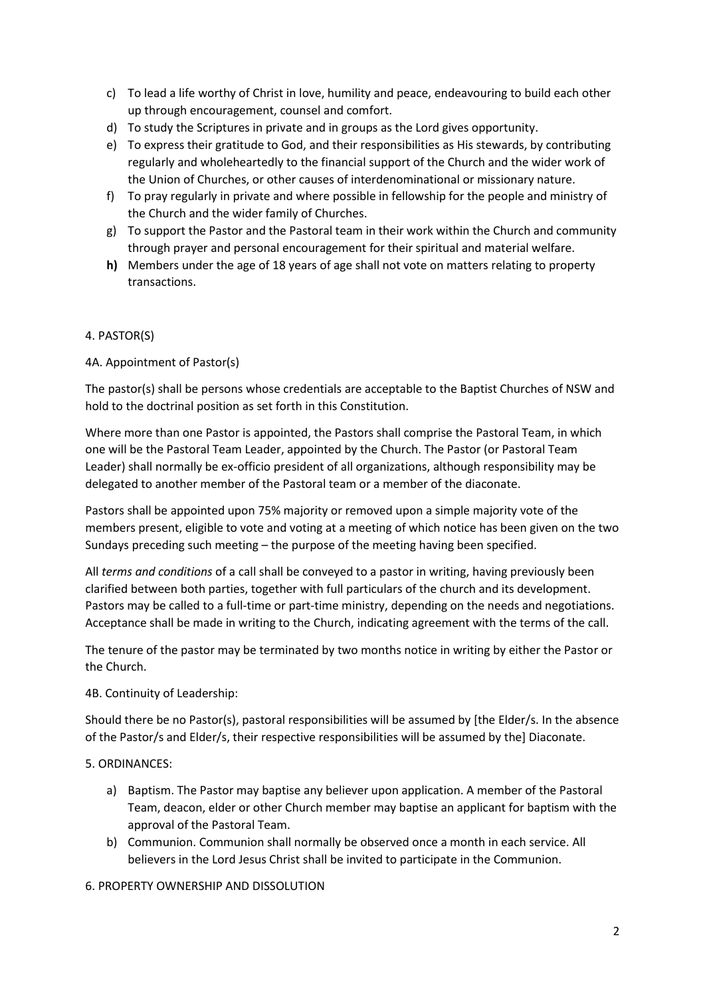- c) To lead a life worthy of Christ in love, humility and peace, endeavouring to build each other up through encouragement, counsel and comfort.
- d) To study the Scriptures in private and in groups as the Lord gives opportunity.
- e) To express their gratitude to God, and their responsibilities as His stewards, by contributing regularly and wholeheartedly to the financial support of the Church and the wider work of the Union of Churches, or other causes of interdenominational or missionary nature.
- f) To pray regularly in private and where possible in fellowship for the people and ministry of the Church and the wider family of Churches.
- g) To support the Pastor and the Pastoral team in their work within the Church and community through prayer and personal encouragement for their spiritual and material welfare.
- **h)** Members under the age of 18 years of age shall not vote on matters relating to property transactions.

# 4. PASTOR(S)

#### 4A. Appointment of Pastor(s)

The pastor(s) shall be persons whose credentials are acceptable to the Baptist Churches of NSW and hold to the doctrinal position as set forth in this Constitution.

Where more than one Pastor is appointed, the Pastors shall comprise the Pastoral Team, in which one will be the Pastoral Team Leader, appointed by the Church. The Pastor (or Pastoral Team Leader) shall normally be ex-officio president of all organizations, although responsibility may be delegated to another member of the Pastoral team or a member of the diaconate.

Pastors shall be appointed upon 75% majority or removed upon a simple majority vote of the members present, eligible to vote and voting at a meeting of which notice has been given on the two Sundays preceding such meeting – the purpose of the meeting having been specified.

All *terms and conditions* of a call shall be conveyed to a pastor in writing, having previously been clarified between both parties, together with full particulars of the church and its development. Pastors may be called to a full-time or part-time ministry, depending on the needs and negotiations. Acceptance shall be made in writing to the Church, indicating agreement with the terms of the call.

The tenure of the pastor may be terminated by two months notice in writing by either the Pastor or the Church.

#### 4B. Continuity of Leadership:

Should there be no Pastor(s), pastoral responsibilities will be assumed by [the Elder/s. In the absence of the Pastor/s and Elder/s, their respective responsibilities will be assumed by the] Diaconate.

#### 5. ORDINANCES:

- a) Baptism. The Pastor may baptise any believer upon application. A member of the Pastoral Team, deacon, elder or other Church member may baptise an applicant for baptism with the approval of the Pastoral Team.
- b) Communion. Communion shall normally be observed once a month in each service. All believers in the Lord Jesus Christ shall be invited to participate in the Communion.

#### 6. PROPERTY OWNERSHIP AND DISSOLUTION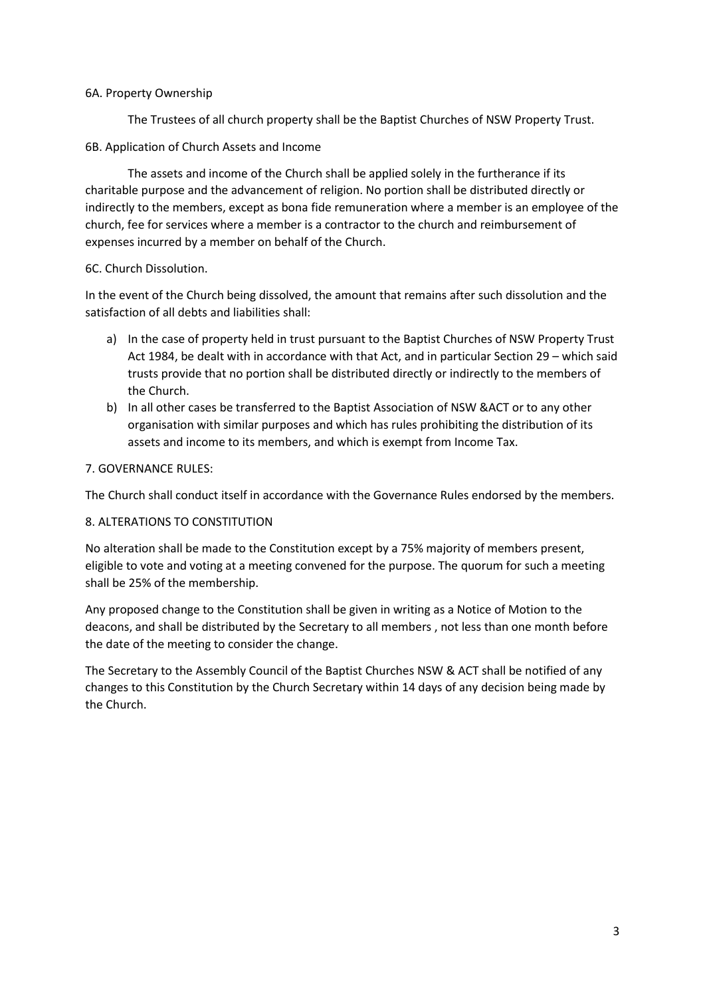#### 6A. Property Ownership

The Trustees of all church property shall be the Baptist Churches of NSW Property Trust.

# 6B. Application of Church Assets and Income

The assets and income of the Church shall be applied solely in the furtherance if its charitable purpose and the advancement of religion. No portion shall be distributed directly or indirectly to the members, except as bona fide remuneration where a member is an employee of the church, fee for services where a member is a contractor to the church and reimbursement of expenses incurred by a member on behalf of the Church.

# 6C. Church Dissolution.

In the event of the Church being dissolved, the amount that remains after such dissolution and the satisfaction of all debts and liabilities shall:

- a) In the case of property held in trust pursuant to the Baptist Churches of NSW Property Trust Act 1984, be dealt with in accordance with that Act, and in particular Section 29 – which said trusts provide that no portion shall be distributed directly or indirectly to the members of the Church.
- b) In all other cases be transferred to the Baptist Association of NSW &ACT or to any other organisation with similar purposes and which has rules prohibiting the distribution of its assets and income to its members, and which is exempt from Income Tax.

# 7. GOVERNANCE RULES:

The Church shall conduct itself in accordance with the Governance Rules endorsed by the members.

# 8. ALTERATIONS TO CONSTITUTION

No alteration shall be made to the Constitution except by a 75% majority of members present, eligible to vote and voting at a meeting convened for the purpose. The quorum for such a meeting shall be 25% of the membership.

Any proposed change to the Constitution shall be given in writing as a Notice of Motion to the deacons, and shall be distributed by the Secretary to all members , not less than one month before the date of the meeting to consider the change.

The Secretary to the Assembly Council of the Baptist Churches NSW & ACT shall be notified of any changes to this Constitution by the Church Secretary within 14 days of any decision being made by the Church.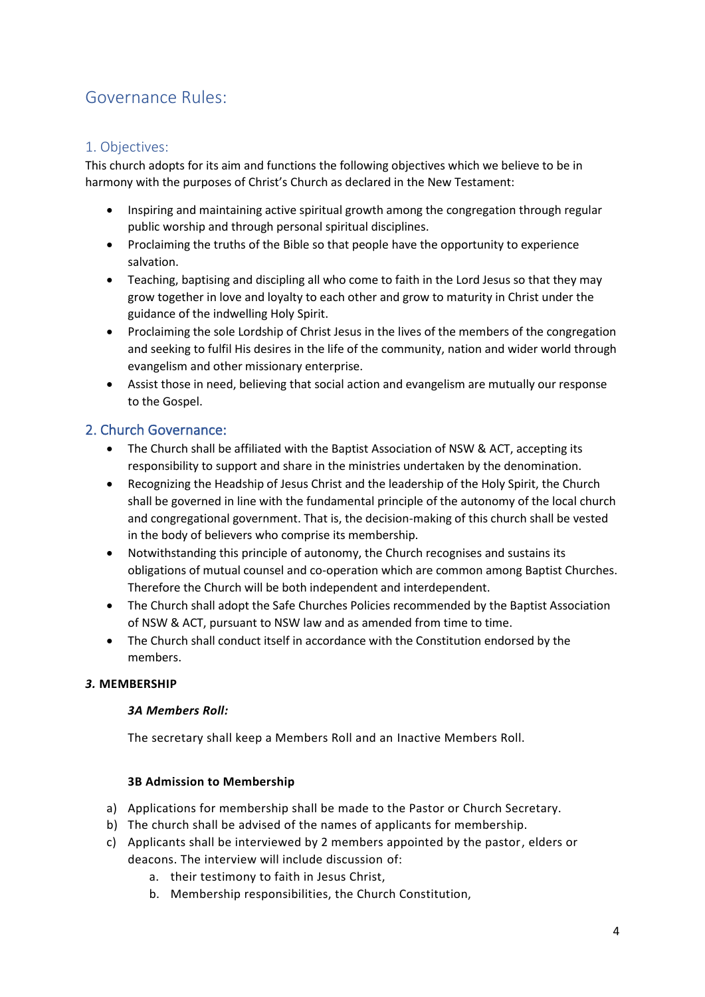# Governance Rules:

# 1. Objectives:

This church adopts for its aim and functions the following objectives which we believe to be in harmony with the purposes of Christ's Church as declared in the New Testament:

- Inspiring and maintaining active spiritual growth among the congregation through regular public worship and through personal spiritual disciplines.
- Proclaiming the truths of the Bible so that people have the opportunity to experience salvation.
- Teaching, baptising and discipling all who come to faith in the Lord Jesus so that they may grow together in love and loyalty to each other and grow to maturity in Christ under the guidance of the indwelling Holy Spirit.
- Proclaiming the sole Lordship of Christ Jesus in the lives of the members of the congregation and seeking to fulfil His desires in the life of the community, nation and wider world through evangelism and other missionary enterprise.
- Assist those in need, believing that social action and evangelism are mutually our response to the Gospel.

# 2. Church Governance:

- The Church shall be affiliated with the Baptist Association of NSW & ACT, accepting its responsibility to support and share in the ministries undertaken by the denomination.
- Recognizing the Headship of Jesus Christ and the leadership of the Holy Spirit, the Church shall be governed in line with the fundamental principle of the autonomy of the local church and congregational government. That is, the decision-making of this church shall be vested in the body of believers who comprise its membership.
- Notwithstanding this principle of autonomy, the Church recognises and sustains its obligations of mutual counsel and co-operation which are common among Baptist Churches. Therefore the Church will be both independent and interdependent.
- The Church shall adopt the Safe Churches Policies recommended by the Baptist Association of NSW & ACT, pursuant to NSW law and as amended from time to time.
- The Church shall conduct itself in accordance with the Constitution endorsed by the members.

# *3.* **MEMBERSHIP**

# *3A Members Roll:*

The secretary shall keep a Members Roll and an Inactive Members Roll.

# **3B Admission to Membership**

- a) Applications for membership shall be made to the Pastor or Church Secretary.
- b) The church shall be advised of the names of applicants for membership.
- c) Applicants shall be interviewed by 2 members appointed by the pastor, elders or deacons. The interview will include discussion of:
	- a. their testimony to faith in Jesus Christ,
	- b. Membership responsibilities, the Church Constitution,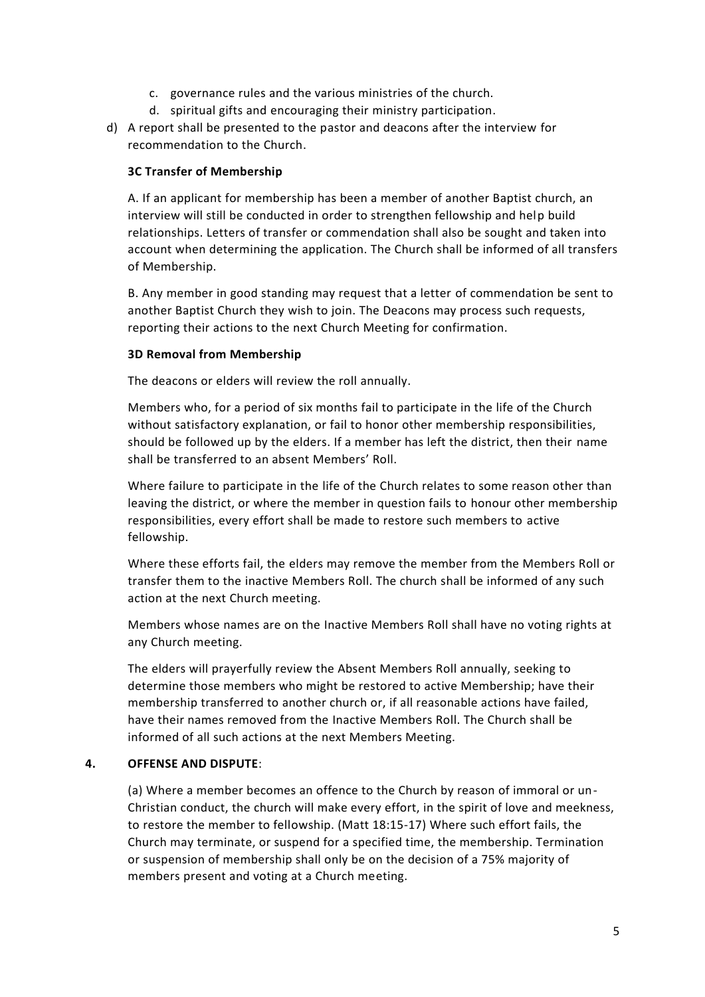- c. governance rules and the various ministries of the church.
- d. spiritual gifts and encouraging their ministry participation.
- d) A report shall be presented to the pastor and deacons after the interview for recommendation to the Church.

#### **3C Transfer of Membership**

A. If an applicant for membership has been a member of another Baptist church, an interview will still be conducted in order to strengthen fellowship and help build relationships. Letters of transfer or commendation shall also be sought and taken into account when determining the application. The Church shall be informed of all transfers of Membership.

B. Any member in good standing may request that a letter of commendation be sent to another Baptist Church they wish to join. The Deacons may process such requests, reporting their actions to the next Church Meeting for confirmation.

#### **3D Removal from Membership**

The deacons or elders will review the roll annually.

Members who, for a period of six months fail to participate in the life of the Church without satisfactory explanation, or fail to honor other membership responsibilities, should be followed up by the elders. If a member has left the district, then their name shall be transferred to an absent Members' Roll.

Where failure to participate in the life of the Church relates to some reason other than leaving the district, or where the member in question fails to honour other membership responsibilities, every effort shall be made to restore such members to active fellowship.

Where these efforts fail, the elders may remove the member from the Members Roll or transfer them to the inactive Members Roll. The church shall be informed of any such action at the next Church meeting.

Members whose names are on the Inactive Members Roll shall have no voting rights at any Church meeting.

The elders will prayerfully review the Absent Members Roll annually, seeking to determine those members who might be restored to active Membership; have their membership transferred to another church or, if all reasonable actions have failed, have their names removed from the Inactive Members Roll. The Church shall be informed of all such actions at the next Members Meeting.

#### **4. OFFENSE AND DISPUTE**:

(a) Where a member becomes an offence to the Church by reason of immoral or un-Christian conduct, the church will make every effort, in the spirit of love and meekness, to restore the member to fellowship. (Matt 18:15-17) Where such effort fails, the Church may terminate, or suspend for a specified time, the membership. Termination or suspension of membership shall only be on the decision of a 75% majority of members present and voting at a Church meeting.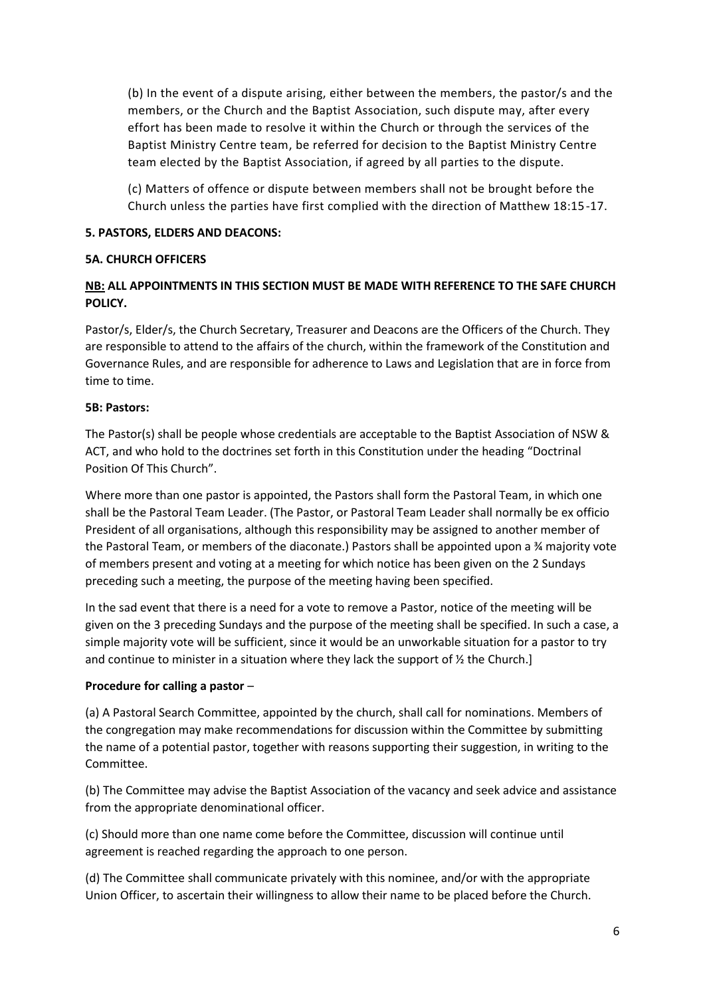(b) In the event of a dispute arising, either between the members, the pastor/s and the members, or the Church and the Baptist Association, such dispute may, after every effort has been made to resolve it within the Church or through the services of the Baptist Ministry Centre team, be referred for decision to the Baptist Ministry Centre team elected by the Baptist Association, if agreed by all parties to the dispute.

(c) Matters of offence or dispute between members shall not be brought before the Church unless the parties have first complied with the direction of Matthew 18:15-17.

#### **5. PASTORS, ELDERS AND DEACONS:**

#### **5A. CHURCH OFFICERS**

# **NB: ALL APPOINTMENTS IN THIS SECTION MUST BE MADE WITH REFERENCE TO THE SAFE CHURCH POLICY.**

Pastor/s, Elder/s, the Church Secretary, Treasurer and Deacons are the Officers of the Church. They are responsible to attend to the affairs of the church, within the framework of the Constitution and Governance Rules, and are responsible for adherence to Laws and Legislation that are in force from time to time.

#### **5B: Pastors:**

The Pastor(s) shall be people whose credentials are acceptable to the Baptist Association of NSW & ACT, and who hold to the doctrines set forth in this Constitution under the heading "Doctrinal Position Of This Church".

Where more than one pastor is appointed, the Pastors shall form the Pastoral Team, in which one shall be the Pastoral Team Leader. (The Pastor, or Pastoral Team Leader shall normally be ex officio President of all organisations, although this responsibility may be assigned to another member of the Pastoral Team, or members of the diaconate.) Pastors shall be appointed upon a ¾ majority vote of members present and voting at a meeting for which notice has been given on the 2 Sundays preceding such a meeting, the purpose of the meeting having been specified.

In the sad event that there is a need for a vote to remove a Pastor, notice of the meeting will be given on the 3 preceding Sundays and the purpose of the meeting shall be specified. In such a case, a simple majority vote will be sufficient, since it would be an unworkable situation for a pastor to try and continue to minister in a situation where they lack the support of  $\frac{1}{2}$  the Church.]

# **Procedure for calling a pastor** –

(a) A Pastoral Search Committee, appointed by the church, shall call for nominations. Members of the congregation may make recommendations for discussion within the Committee by submitting the name of a potential pastor, together with reasons supporting their suggestion, in writing to the Committee.

(b) The Committee may advise the Baptist Association of the vacancy and seek advice and assistance from the appropriate denominational officer.

(c) Should more than one name come before the Committee, discussion will continue until agreement is reached regarding the approach to one person.

(d) The Committee shall communicate privately with this nominee, and/or with the appropriate Union Officer, to ascertain their willingness to allow their name to be placed before the Church.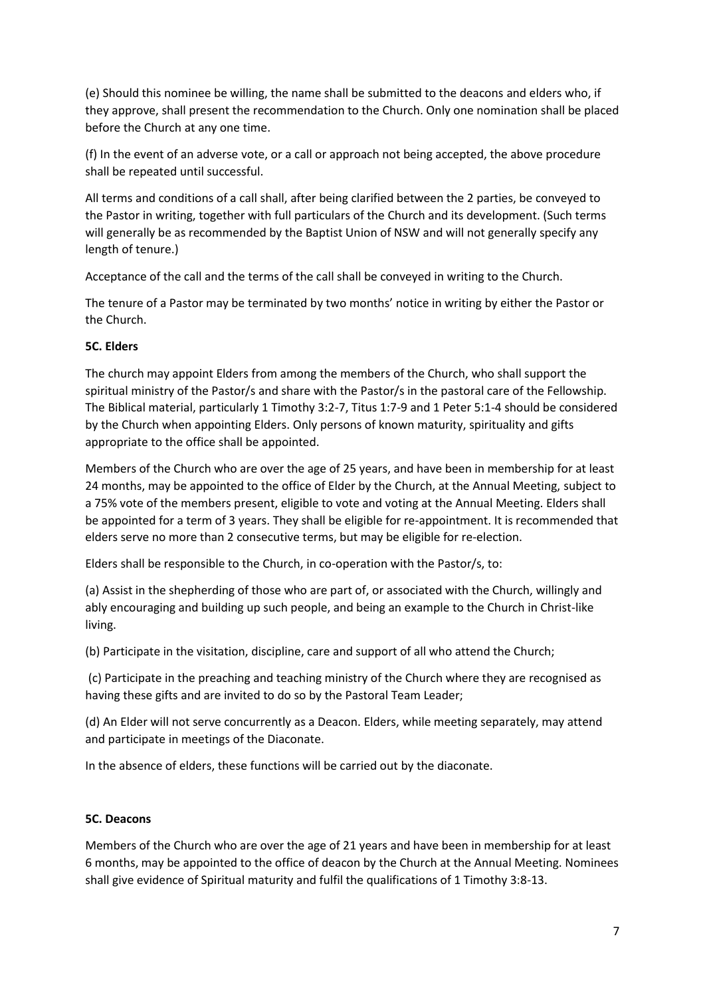(e) Should this nominee be willing, the name shall be submitted to the deacons and elders who, if they approve, shall present the recommendation to the Church. Only one nomination shall be placed before the Church at any one time.

(f) In the event of an adverse vote, or a call or approach not being accepted, the above procedure shall be repeated until successful.

All terms and conditions of a call shall, after being clarified between the 2 parties, be conveyed to the Pastor in writing, together with full particulars of the Church and its development. (Such terms will generally be as recommended by the Baptist Union of NSW and will not generally specify any length of tenure.)

Acceptance of the call and the terms of the call shall be conveyed in writing to the Church.

The tenure of a Pastor may be terminated by two months' notice in writing by either the Pastor or the Church.

#### **5C. Elders**

The church may appoint Elders from among the members of the Church, who shall support the spiritual ministry of the Pastor/s and share with the Pastor/s in the pastoral care of the Fellowship. The Biblical material, particularly 1 Timothy 3:2-7, Titus 1:7-9 and 1 Peter 5:1-4 should be considered by the Church when appointing Elders. Only persons of known maturity, spirituality and gifts appropriate to the office shall be appointed.

Members of the Church who are over the age of 25 years, and have been in membership for at least 24 months, may be appointed to the office of Elder by the Church, at the Annual Meeting, subject to a 75% vote of the members present, eligible to vote and voting at the Annual Meeting. Elders shall be appointed for a term of 3 years. They shall be eligible for re-appointment. It is recommended that elders serve no more than 2 consecutive terms, but may be eligible for re-election.

Elders shall be responsible to the Church, in co-operation with the Pastor/s, to:

(a) Assist in the shepherding of those who are part of, or associated with the Church, willingly and ably encouraging and building up such people, and being an example to the Church in Christ-like living.

(b) Participate in the visitation, discipline, care and support of all who attend the Church;

(c) Participate in the preaching and teaching ministry of the Church where they are recognised as having these gifts and are invited to do so by the Pastoral Team Leader;

(d) An Elder will not serve concurrently as a Deacon. Elders, while meeting separately, may attend and participate in meetings of the Diaconate.

In the absence of elders, these functions will be carried out by the diaconate.

#### **5C. Deacons**

Members of the Church who are over the age of 21 years and have been in membership for at least 6 months, may be appointed to the office of deacon by the Church at the Annual Meeting. Nominees shall give evidence of Spiritual maturity and fulfil the qualifications of 1 Timothy 3:8-13.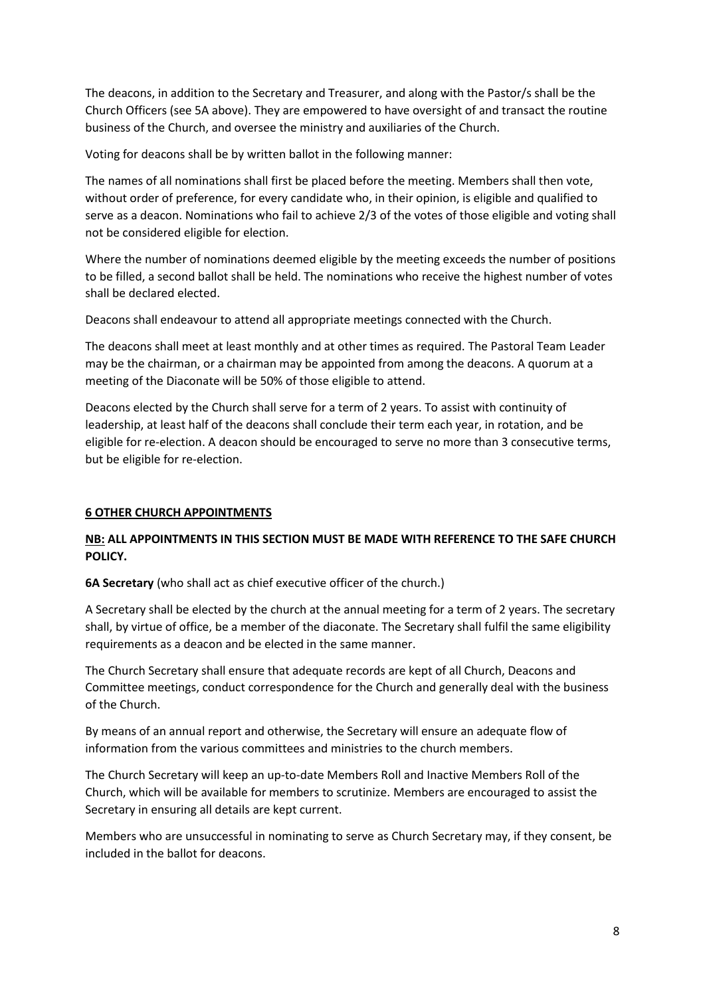The deacons, in addition to the Secretary and Treasurer, and along with the Pastor/s shall be the Church Officers (see 5A above). They are empowered to have oversight of and transact the routine business of the Church, and oversee the ministry and auxiliaries of the Church.

Voting for deacons shall be by written ballot in the following manner:

The names of all nominations shall first be placed before the meeting. Members shall then vote, without order of preference, for every candidate who, in their opinion, is eligible and qualified to serve as a deacon. Nominations who fail to achieve 2/3 of the votes of those eligible and voting shall not be considered eligible for election.

Where the number of nominations deemed eligible by the meeting exceeds the number of positions to be filled, a second ballot shall be held. The nominations who receive the highest number of votes shall be declared elected.

Deacons shall endeavour to attend all appropriate meetings connected with the Church.

The deacons shall meet at least monthly and at other times as required. The Pastoral Team Leader may be the chairman, or a chairman may be appointed from among the deacons. A quorum at a meeting of the Diaconate will be 50% of those eligible to attend.

Deacons elected by the Church shall serve for a term of 2 years. To assist with continuity of leadership, at least half of the deacons shall conclude their term each year, in rotation, and be eligible for re-election. A deacon should be encouraged to serve no more than 3 consecutive terms, but be eligible for re-election.

# **6 OTHER CHURCH APPOINTMENTS**

# **NB: ALL APPOINTMENTS IN THIS SECTION MUST BE MADE WITH REFERENCE TO THE SAFE CHURCH POLICY.**

**6A Secretary** (who shall act as chief executive officer of the church.)

A Secretary shall be elected by the church at the annual meeting for a term of 2 years. The secretary shall, by virtue of office, be a member of the diaconate. The Secretary shall fulfil the same eligibility requirements as a deacon and be elected in the same manner.

The Church Secretary shall ensure that adequate records are kept of all Church, Deacons and Committee meetings, conduct correspondence for the Church and generally deal with the business of the Church.

By means of an annual report and otherwise, the Secretary will ensure an adequate flow of information from the various committees and ministries to the church members.

The Church Secretary will keep an up-to-date Members Roll and Inactive Members Roll of the Church, which will be available for members to scrutinize. Members are encouraged to assist the Secretary in ensuring all details are kept current.

Members who are unsuccessful in nominating to serve as Church Secretary may, if they consent, be included in the ballot for deacons.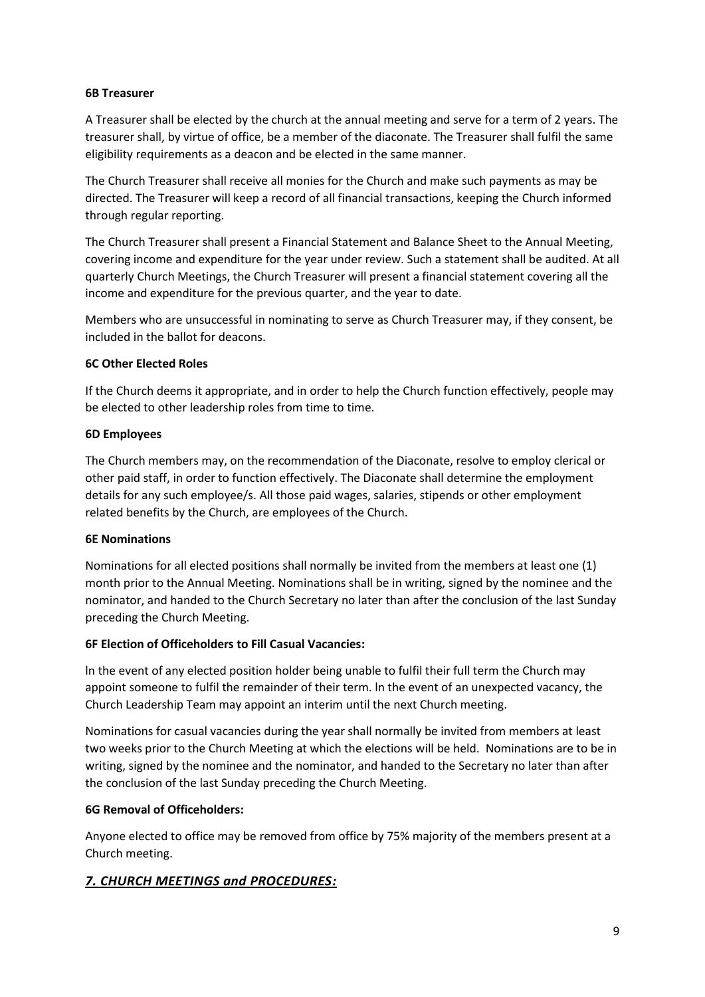#### **6B Treasurer**

A Treasurer shall be elected by the church at the annual meeting and serve for a term of 2 years. The treasurer shall, by virtue of office, be a member of the diaconate. The Treasurer shall fulfil the same eligibility requirements as a deacon and be elected in the same manner.

The Church Treasurer shall receive all monies for the Church and make such payments as may be directed. The Treasurer will keep a record of all financial transactions, keeping the Church informed through regular reporting.

The Church Treasurer shall present a Financial Statement and Balance Sheet to the Annual Meeting, covering income and expenditure for the year under review. Such a statement shall be audited. At all quarterly Church Meetings, the Church Treasurer will present a financial statement covering all the income and expenditure for the previous quarter, and the year to date.

Members who are unsuccessful in nominating to serve as Church Treasurer may, if they consent, be included in the ballot for deacons.

#### **6C Other Elected Roles**

If the Church deems it appropriate, and in order to help the Church function effectively, people may be elected to other leadership roles from time to time.

#### **6D Employees**

The Church members may, on the recommendation of the Diaconate, resolve to employ clerical or other paid staff, in order to function effectively. The Diaconate shall determine the employment details for any such employee/s. All those paid wages, salaries, stipends or other employment related benefits by the Church, are employees of the Church.

#### **6E Nominations**

Nominations for all elected positions shall normally be invited from the members at least one (1) month prior to the Annual Meeting. Nominations shall be in writing, signed by the nominee and the nominator, and handed to the Church Secretary no later than after the conclusion of the last Sunday preceding the Church Meeting.

#### **6F Election of Officeholders to Fill Casual Vacancies:**

ln the event of any elected position holder being unable to fulfil their full term the Church may appoint someone to fulfil the remainder of their term. ln the event of an unexpected vacancy, the Church Leadership Team may appoint an interim until the next Church meeting.

Nominations for casual vacancies during the year shall normally be invited from members at least two weeks prior to the Church Meeting at which the elections will be held. Nominations are to be in writing, signed by the nominee and the nominator, and handed to the Secretary no later than after the conclusion of the last Sunday preceding the Church Meeting.

# **6G Removal of Officeholders:**

Anyone elected to office may be removed from office by 75% majority of the members present at a Church meeting.

# *7. CHURCH MEETINGS and PROCEDURES:*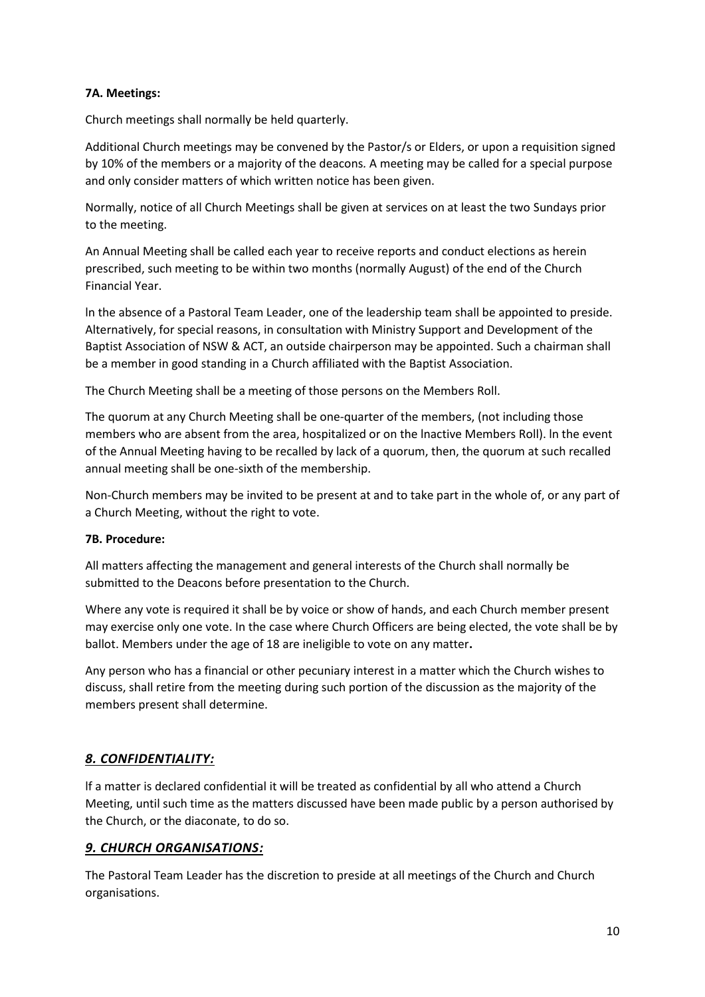#### **7A. Meetings:**

Church meetings shall normally be held quarterly.

Additional Church meetings may be convened by the Pastor/s or Elders, or upon a requisition signed by 10% of the members or a majority of the deacons*.* A meeting may be called for a special purpose and only consider matters of which written notice has been given.

Normally, notice of all Church Meetings shall be given at services on at least the two Sundays prior to the meeting.

An Annual Meeting shall be called each year to receive reports and conduct elections as herein prescribed, such meeting to be within two months (normally August) of the end of the Church Financial Year.

ln the absence of a Pastoral Team Leader, one of the leadership team shall be appointed to preside. Alternatively, for special reasons, in consultation with Ministry Support and Development of the Baptist Association of NSW & ACT, an outside chairperson may be appointed. Such a chairman shall be a member in good standing in a Church affiliated with the Baptist Association.

The Church Meeting shall be a meeting of those persons on the Members Roll.

The quorum at any Church Meeting shall be one-quarter of the members, (not including those members who are absent from the area, hospitalized or on the lnactive Members Roll). ln the event of the Annual Meeting having to be recalled by lack of a quorum, then, the quorum at such recalled annual meeting shall be one-sixth of the membership.

Non-Church members may be invited to be present at and to take part in the whole of, or any part of a Church Meeting, without the right to vote.

#### **7B. Procedure:**

All matters affecting the management and general interests of the Church shall normally be submitted to the Deacons before presentation to the Church.

Where any vote is required it shall be by voice or show of hands, and each Church member present may exercise only one vote. In the case where Church Officers are being elected, the vote shall be by ballot. Members under the age of 18 are ineligible to vote on any matter**.**

Any person who has a financial or other pecuniary interest in a matter which the Church wishes to discuss, shall retire from the meeting during such portion of the discussion as the majority of the members present shall determine.

# *8. CONFIDENTIALITY:*

lf a matter is declared confidential it will be treated as confidential by all who attend a Church Meeting, until such time as the matters discussed have been made public by a person authorised by the Church, or the diaconate, to do so.

# *9. CHURCH ORGANISATIONS:*

The Pastoral Team Leader has the discretion to preside at all meetings of the Church and Church organisations.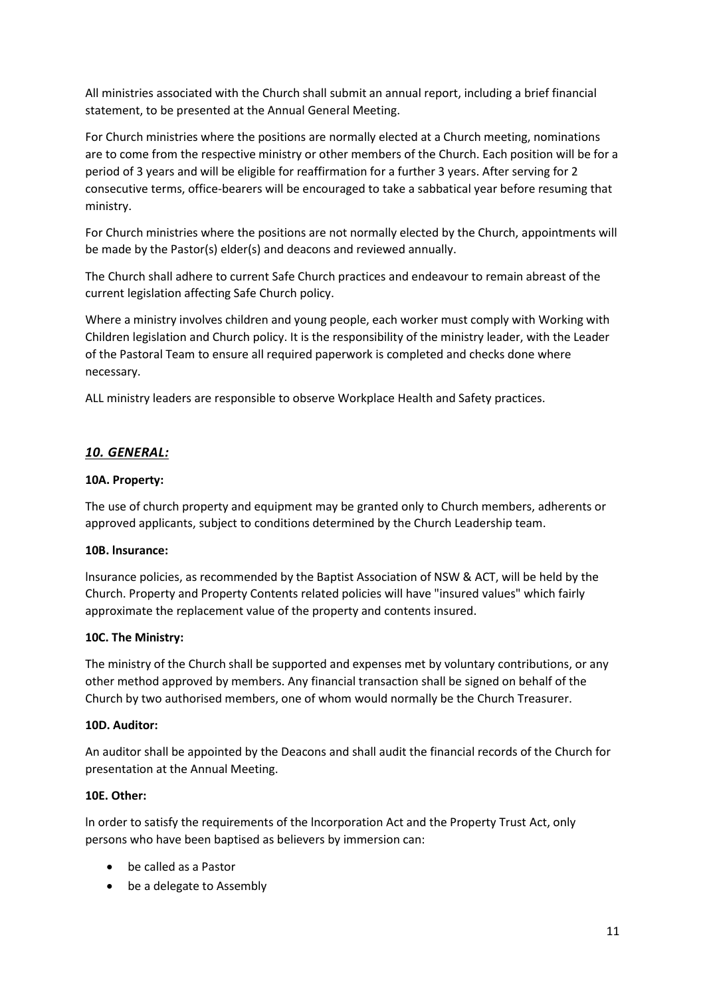All ministries associated with the Church shall submit an annual report, including a brief financial statement, to be presented at the Annual General Meeting.

For Church ministries where the positions are normally elected at a Church meeting, nominations are to come from the respective ministry or other members of the Church. Each position will be for a period of 3 years and will be eligible for reaffirmation for a further 3 years. After serving for 2 consecutive terms, office-bearers will be encouraged to take a sabbatical year before resuming that ministry.

For Church ministries where the positions are not normally elected by the Church, appointments will be made by the Pastor(s) elder(s) and deacons and reviewed annually.

The Church shall adhere to current Safe Church practices and endeavour to remain abreast of the current legislation affecting Safe Church policy.

Where a ministry involves children and young people, each worker must comply with Working with Children legislation and Church policy. It is the responsibility of the ministry leader, with the Leader of the Pastoral Team to ensure all required paperwork is completed and checks done where necessary.

ALL ministry leaders are responsible to observe Workplace Health and Safety practices.

# *10. GENERAL:*

#### **10A. Property:**

The use of church property and equipment may be granted only to Church members, adherents or approved applicants, subject to conditions determined by the Church Leadership team.

#### **10B. lnsurance:**

lnsurance policies, as recommended by the Baptist Association of NSW & ACT, will be held by the Church. Property and Property Contents related policies will have "insured values" which fairly approximate the replacement value of the property and contents insured.

#### **10C. The Ministry:**

The ministry of the Church shall be supported and expenses met by voluntary contributions, or any other method approved by members. Any financial transaction shall be signed on behalf of the Church by two authorised members, one of whom would normally be the Church Treasurer.

#### **10D. Auditor:**

An auditor shall be appointed by the Deacons and shall audit the financial records of the Church for presentation at the Annual Meeting.

#### **10E. Other:**

ln order to satisfy the requirements of the lncorporation Act and the Property Trust Act, only persons who have been baptised as believers by immersion can:

- be called as a Pastor
- be a delegate to Assembly